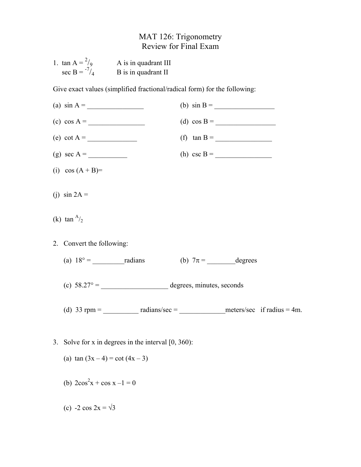## MAT 126: Trigonometry Review for Final Exam

| 1. $\tan A = \frac{2}{9}$ | A is in quadrant III |
|---------------------------|----------------------|
| sec B = $^{-7}/_4$        | B is in quadrant II  |

Give exact values (simplified fractional/radical form) for the following:

| (a) $\sin A =$                                         | (b) $\sin B =$                                                                    |
|--------------------------------------------------------|-----------------------------------------------------------------------------------|
| (c) $\cos A =$                                         | (d) $\cos B =$                                                                    |
| (e) $\cot A =$                                         | (f) $\tan B =$                                                                    |
|                                                        | (h) $\csc B =$                                                                    |
| (i) $\cos(A + B) =$                                    |                                                                                   |
| (j) $\sin 2A =$                                        |                                                                                   |
| (k) tan $A/2$                                          |                                                                                   |
| 2. Convert the following:                              |                                                                                   |
| (a) $18^\circ =$ radians (b) $7\pi =$ degrees          |                                                                                   |
|                                                        |                                                                                   |
|                                                        | (d) 33 rpm = $\_\_\_\_\_\$ radians/sec = $\_\_\_\_\_\$ meters/sec if radius = 4m. |
|                                                        |                                                                                   |
| 3. Solve for x in degrees in the interval $[0, 360)$ : |                                                                                   |
| (a) $\tan (3x-4) = \cot (4x-3)$                        |                                                                                   |
| (b) $2\cos^2 x + \cos x - 1 = 0$                       |                                                                                   |

(c)  $-2 \cos 2x = \sqrt{3}$